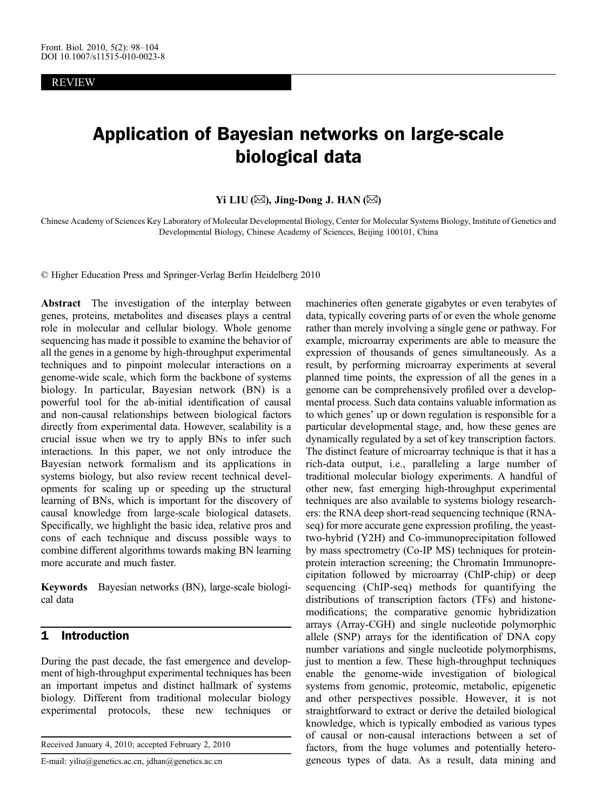REVIEW

# Application of Bayesian networks on large-scale biological data

## Yi LIU ( $\boxtimes$ ), Jing-Dong J. HAN ( $\boxtimes$ )

Chinese Academy of Sciences Key Laboratory of Molecular Developmental Biology, Center for Molecular Systems Biology, Institute of Genetics and Developmental Biology, Chinese Academy of Sciences, Beijing 100101, China

© Higher Education Press and Springer-Verlag Berlin Heidelberg 2010

Abstract The investigation of the interplay between genes, proteins, metabolites and diseases plays a central role in molecular and cellular biology. Whole genome sequencing has made it possible to examine the behavior of all the genes in a genome by high-throughput experimental techniques and to pinpoint molecular interactions on a genome-wide scale, which form the backbone of systems biology. In particular, Bayesian network (BN) is a powerful tool for the ab-initial identification of causal and non-causal relationships between biological factors directly from experimental data. However, scalability is a crucial issue when we try to apply BNs to infer such interactions. In this paper, we not only introduce the Bayesian network formalism and its applications in systems biology, but also review recent technical developments for scaling up or speeding up the structural learning of BNs, which is important for the discovery of causal knowledge from large-scale biological datasets. Specifically, we highlight the basic idea, relative pros and cons of each technique and discuss possible ways to combine different algorithms towards making BN learning more accurate and much faster.

Keywords Bayesian networks (BN), large-scale biological data

## 1 Introduction

During the past decade, the fast emergence and development of high-throughput experimental techniques has been an important impetus and distinct hallmark of systems biology. Different from traditional molecular biology experimental protocols, these new techniques or

Received January 4, 2010; accepted February 2, 2010

E-mail: yiliu@genetics.ac.cn, jdhan@genetics.ac.cn

machineries often generate gigabytes or even terabytes of data, typically covering parts of or even the whole genome rather than merely involving a single gene or pathway. For example, microarray experiments are able to measure the expression of thousands of genes simultaneously. As a result, by performing microarray experiments at several planned time points, the expression of all the genes in a genome can be comprehensively profiled over a developmental process. Such data contains valuable information as to which genes' up or down regulation is responsible for a particular developmental stage, and, how these genes are dynamically regulated by a set of key transcription factors. The distinct feature of microarray technique is that it has a rich-data output, i.e., paralleling a large number of traditional molecular biology experiments. A handful of other new, fast emerging high-throughput experimental techniques are also available to systems biology researchers: the RNA deep short-read sequencing technique (RNAseq) for more accurate gene expression profiling, the yeasttwo-hybrid (Y2H) and Co-immunoprecipitation followed by mass spectrometry (Co-IP MS) techniques for proteinprotein interaction screening; the Chromatin Immunoprecipitation followed by microarray (ChIP-chip) or deep sequencing (ChIP-seq) methods for quantifying the distributions of transcription factors (TFs) and histonemodifications; the comparative genomic hybridization arrays (Array-CGH) and single nucleotide polymorphic allele (SNP) arrays for the identification of DNA copy number variations and single nucleotide polymorphisms, just to mention a few. These high-throughput techniques enable the genome-wide investigation of biological systems from genomic, proteomic, metabolic, epigenetic and other perspectives possible. However, it is not straightforward to extract or derive the detailed biological knowledge, which is typically embodied as various types of causal or non-causal interactions between a set of factors, from the huge volumes and potentially heterogeneous types of data. As a result, data mining and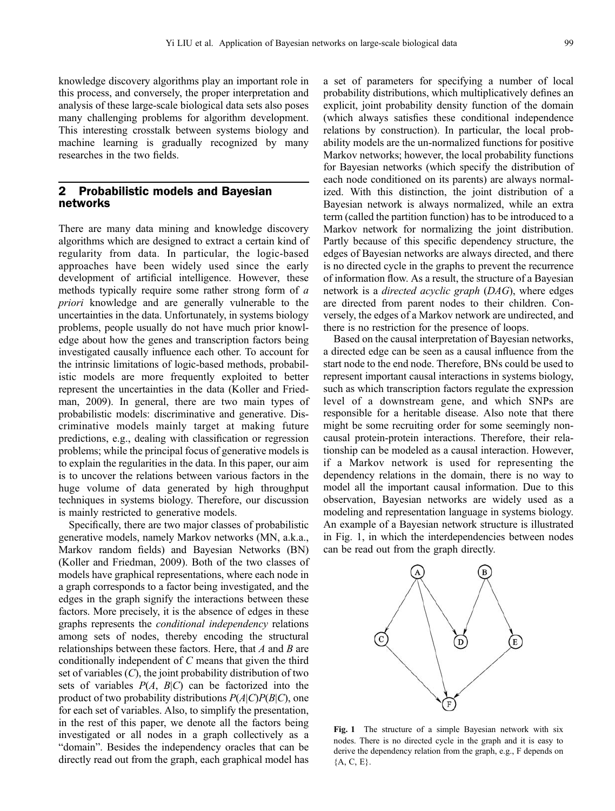knowledge discovery algorithms play an important role in this process, and conversely, the proper interpretation and analysis of these large-scale biological data sets also poses many challenging problems for algorithm development. This interesting crosstalk between systems biology and machine learning is gradually recognized by many researches in the two fields.

## 2 Probabilistic models and Bayesian networks

There are many data mining and knowledge discovery algorithms which are designed to extract a certain kind of regularity from data. In particular, the logic-based approaches have been widely used since the early development of artificial intelligence. However, these methods typically require some rather strong form of a priori knowledge and are generally vulnerable to the uncertainties in the data. Unfortunately, in systems biology problems, people usually do not have much prior knowledge about how the genes and transcription factors being investigated causally influence each other. To account for the intrinsic limitations of logic-based methods, probabilistic models are more frequently exploited to better represent the uncertainties in the data ([Koller and Fried](#page-6-0)[man, 2009](#page-6-0)). In general, there are two main types of probabilistic models: discriminative and generative. Discriminative models mainly target at making future predictions, e.g., dealing with classification or regression problems; while the principal focus of generative models is to explain the regularities in the data. In this paper, our aim is to uncover the relations between various factors in the huge volume of data generated by high throughput techniques in systems biology. Therefore, our discussion is mainly restricted to generative models.

Specifically, there are two major classes of probabilistic generative models, namely Markov networks (MN, a.k.a., Markov random fields) and Bayesian Networks (BN) [\(Koller and Friedman, 2009\)](#page-6-0). Both of the two classes of models have graphical representations, where each node in a graph corresponds to a factor being investigated, and the edges in the graph signify the interactions between these factors. More precisely, it is the absence of edges in these graphs represents the conditional independency relations among sets of nodes, thereby encoding the structural relationships between these factors. Here, that A and B are conditionally independent of C means that given the third set of variables  $(C)$ , the joint probability distribution of two sets of variables  $P(A, B|C)$  can be factorized into the product of two probability distributions  $P(A|C)P(B|C)$ , one for each set of variables. Also, to simplify the presentation, in the rest of this paper, we denote all the factors being investigated or all nodes in a graph collectively as a "domain". Besides the independency oracles that can be directly read out from the graph, each graphical model has

a set of parameters for specifying a number of local probability distributions, which multiplicatively defines an explicit, joint probability density function of the domain (which always satisfies these conditional independence relations by construction). In particular, the local probability models are the un-normalized functions for positive Markov networks; however, the local probability functions for Bayesian networks (which specify the distribution of each node conditioned on its parents) are always normalized. With this distinction, the joint distribution of a Bayesian network is always normalized, while an extra term (called the partition function) has to be introduced to a Markov network for normalizing the joint distribution. Partly because of this specific dependency structure, the edges of Bayesian networks are always directed, and there is no directed cycle in the graphs to prevent the recurrence of information flow. As a result, the structure of a Bayesian network is a *directed acyclic graph (DAG)*, where edges are directed from parent nodes to their children. Conversely, the edges of a Markov network are undirected, and there is no restriction for the presence of loops.

Based on the causal interpretation of Bayesian networks, a directed edge can be seen as a causal influence from the start node to the end node. Therefore, BNs could be used to represent important causal interactions in systems biology, such as which transcription factors regulate the expression level of a downstream gene, and which SNPs are responsible for a heritable disease. Also note that there might be some recruiting order for some seemingly noncausal protein-protein interactions. Therefore, their relationship can be modeled as a causal interaction. However, if a Markov network is used for representing the dependency relations in the domain, there is no way to model all the important causal information. Due to this observation, Bayesian networks are widely used as a modeling and representation language in systems biology. An example of a Bayesian network structure is illustrated in Fig. 1, in which the interdependencies between nodes can be read out from the graph directly.



Fig. 1 The structure of a simple Bayesian network with six nodes. There is no directed cycle in the graph and it is easy to derive the dependency relation from the graph, e.g., F depends on  ${A, C, E}.$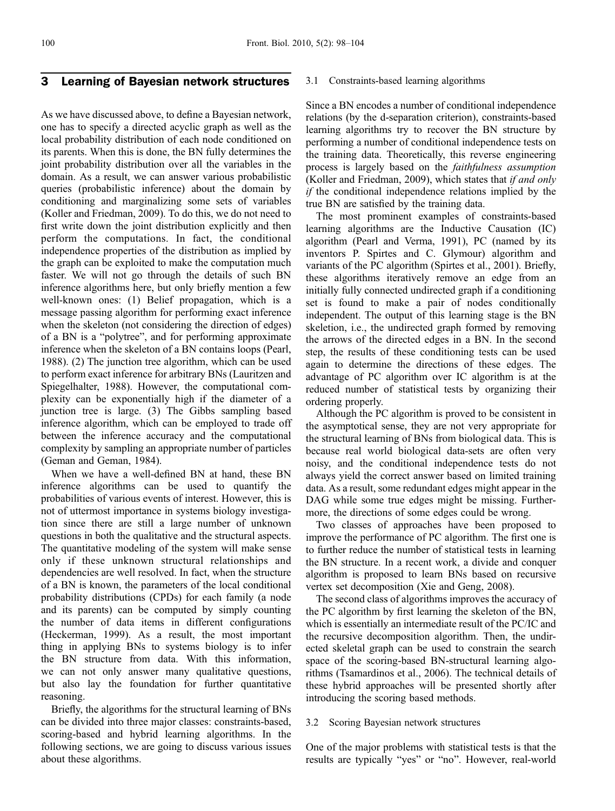# 3 Learning of Bayesian network structures

As we have discussed above, to define a Bayesian network, one has to specify a directed acyclic graph as well as the local probability distribution of each node conditioned on its parents. When this is done, the BN fully determines the joint probability distribution over all the variables in the domain. As a result, we can answer various probabilistic queries (probabilistic inference) about the domain by conditioning and marginalizing some sets of variables [\(Koller and Friedman, 2009\)](#page-6-0). To do this, we do not need to first write down the joint distribution explicitly and then perform the computations. In fact, the conditional independence properties of the distribution as implied by the graph can be exploited to make the computation much faster. We will not go through the details of such BN inference algorithms here, but only briefly mention a few well-known ones: (1) Belief propagation, which is a message passing algorithm for performing exact inference when the skeleton (not considering the direction of edges) of a BN is a "polytree", and for performing approximate inference when the skeleton of a BN contains loops [\(Pearl,](#page-6-0) [1988\)](#page-6-0). (2) The junction tree algorithm, which can be used to perform exact inference for arbitrary BNs [\(Lauritzen and](#page-6-0) [Spiegelhalter, 1988](#page-6-0)). However, the computational complexity can be exponentially high if the diameter of a junction tree is large. (3) The Gibbs sampling based inference algorithm, which can be employed to trade off between the inference accuracy and the computational complexity by sampling an appropriate number of particles [\(Geman and Geman, 1984\)](#page-6-0).

When we have a well-defined BN at hand, these BN inference algorithms can be used to quantify the probabilities of various events of interest. However, this is not of uttermost importance in systems biology investigation since there are still a large number of unknown questions in both the qualitative and the structural aspects. The quantitative modeling of the system will make sense only if these unknown structural relationships and dependencies are well resolved. In fact, when the structure of a BN is known, the parameters of the local conditional probability distributions (CPDs) for each family (a node and its parents) can be computed by simply counting the number of data items in different configurations [\(Heckerman, 1999](#page-6-0)). As a result, the most important thing in applying BNs to systems biology is to infer the BN structure from data. With this information, we can not only answer many qualitative questions, but also lay the foundation for further quantitative reasoning.

Briefly, the algorithms for the structural learning of BNs can be divided into three major classes: constraints-based, scoring-based and hybrid learning algorithms. In the following sections, we are going to discuss various issues about these algorithms.

#### 3.1 Constraints-based learning algorithms

Since a BN encodes a number of conditional independence relations (by the d-separation criterion), constraints-based learning algorithms try to recover the BN structure by performing a number of conditional independence tests on the training data. Theoretically, this reverse engineering process is largely based on the faithfulness assumption ([Koller and Friedman, 2009\)](#page-6-0), which states that if and only if the conditional independence relations implied by the true BN are satisfied by the training data.

The most prominent examples of constraints-based learning algorithms are the Inductive Causation (IC) algorithm [\(Pearl and Verma, 1991\)](#page-6-0), PC (named by its inventors P. Spirtes and C. Glymour) algorithm and variants of the PC algorithm ([Spirtes et al., 2001](#page-6-0)). Briefly, these algorithms iteratively remove an edge from an initially fully connected undirected graph if a conditioning set is found to make a pair of nodes conditionally independent. The output of this learning stage is the BN skeletion, i.e., the undirected graph formed by removing the arrows of the directed edges in a BN. In the second step, the results of these conditioning tests can be used again to determine the directions of these edges. The advantage of PC algorithm over IC algorithm is at the reduced number of statistical tests by organizing their ordering properly.

Although the PC algorithm is proved to be consistent in the asymptotical sense, they are not very appropriate for the structural learning of BNs from biological data. This is because real world biological data-sets are often very noisy, and the conditional independence tests do not always yield the correct answer based on limited training data. As a result, some redundant edges might appear in the DAG while some true edges might be missing. Furthermore, the directions of some edges could be wrong.

Two classes of approaches have been proposed to improve the performance of PC algorithm. The first one is to further reduce the number of statistical tests in learning the BN structure. In a recent work, a divide and conquer algorithm is proposed to learn BNs based on recursive vertex set decomposition [\(Xie and Geng, 2008\)](#page-6-0).

The second class of algorithms improves the accuracy of the PC algorithm by first learning the skeleton of the BN, which is essentially an intermediate result of the PC/IC and the recursive decomposition algorithm. Then, the undirected skeletal graph can be used to constrain the search space of the scoring-based BN-structural learning algorithms ([Tsamardinos et al., 2006\)](#page-6-0). The technical details of these hybrid approaches will be presented shortly after introducing the scoring based methods.

#### 3.2 Scoring Bayesian network structures

One of the major problems with statistical tests is that the results are typically "yes" or "no". However, real-world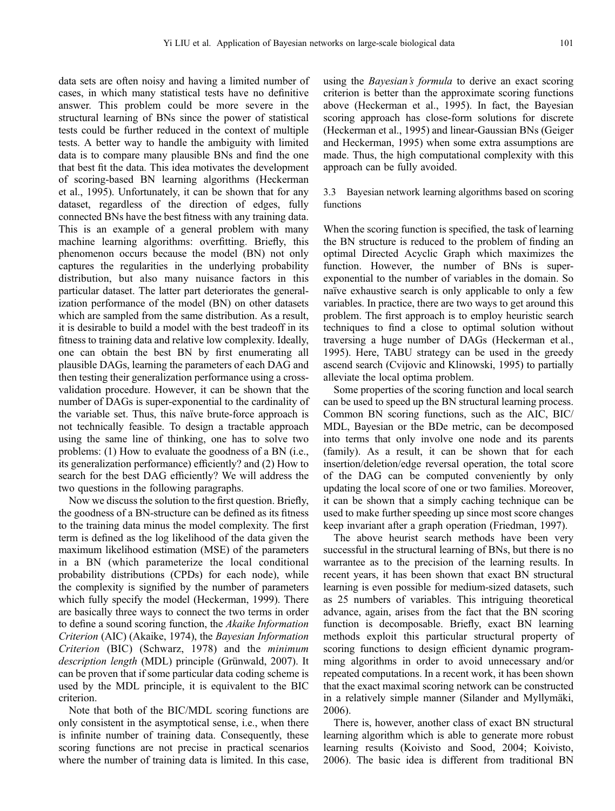data sets are often noisy and having a limited number of cases, in which many statistical tests have no definitive answer. This problem could be more severe in the structural learning of BNs since the power of statistical tests could be further reduced in the context of multiple tests. A better way to handle the ambiguity with limited data is to compare many plausible BNs and find the one that best fit the data. This idea motivates the development of scoring-based BN learning algorithms [\(Heckerman](#page-6-0) [et al., 1995\)](#page-6-0). Unfortunately, it can be shown that for any dataset, regardless of the direction of edges, fully connected BNs have the best fitness with any training data. This is an example of a general problem with many machine learning algorithms: overfitting. Briefly, this phenomenon occurs because the model (BN) not only captures the regularities in the underlying probability distribution, but also many nuisance factors in this particular dataset. The latter part deteriorates the generalization performance of the model (BN) on other datasets which are sampled from the same distribution. As a result, it is desirable to build a model with the best tradeoff in its fitness to training data and relative low complexity. Ideally, one can obtain the best BN by first enumerating all plausible DAGs, learning the parameters of each DAG and then testing their generalization performance using a crossvalidation procedure. However, it can be shown that the number of DAGs is super-exponential to the cardinality of the variable set. Thus, this naïve brute-force approach is not technically feasible. To design a tractable approach using the same line of thinking, one has to solve two problems: (1) How to evaluate the goodness of a BN (i.e., its generalization performance) efficiently? and (2) How to search for the best DAG efficiently? We will address the two questions in the following paragraphs.

Now we discuss the solution to the first question. Briefly, the goodness of a BN-structure can be defined as its fitness to the training data minus the model complexity. The first term is defined as the log likelihood of the data given the maximum likelihood estimation (MSE) of the parameters in a BN (which parameterize the local conditional probability distributions (CPDs) for each node), while the complexity is signified by the number of parameters which fully specify the model ([Heckerman, 1999](#page-6-0)). There are basically three ways to connect the two terms in order to define a sound scoring function, the Akaike Information Criterion (AIC) ([Akaike, 1974\)](#page-6-0), the Bayesian Information Criterion (BIC) ([Schwarz, 1978\)](#page-6-0) and the minimum description length (MDL) principle [\(Grünwald, 2007](#page-6-0)). It can be proven that if some particular data coding scheme is used by the MDL principle, it is equivalent to the BIC criterion.

Note that both of the BIC/MDL scoring functions are only consistent in the asymptotical sense, i.e., when there is infinite number of training data. Consequently, these scoring functions are not precise in practical scenarios where the number of training data is limited. In this case,

using the Bayesian*'*s formula to derive an exact scoring criterion is better than the approximate scoring functions above ([Heckerman et al., 1995](#page-6-0)). In fact, the Bayesian scoring approach has close-form solutions for discrete ([Heckerman et al., 1995\)](#page-6-0) and linear-Gaussian BNs ([Geiger](#page-6-0) [and Heckerman, 1995](#page-6-0)) when some extra assumptions are made. Thus, the high computational complexity with this approach can be fully avoided.

### 3.3 Bayesian network learning algorithms based on scoring functions

When the scoring function is specified, the task of learning the BN structure is reduced to the problem of finding an optimal Directed Acyclic Graph which maximizes the function. However, the number of BNs is superexponential to the number of variables in the domain. So naïve exhaustive search is only applicable to only a few variables. In practice, there are two ways to get around this problem. The first approach is to employ heuristic search techniques to find a close to optimal solution without traversing a huge number of DAGs [\(Heckerman et al.,](#page-6-0) [1995](#page-6-0)). Here, TABU strategy can be used in the greedy ascend search [\(Cvijovic and Klinowski, 1995\)](#page-6-0) to partially alleviate the local optima problem.

Some properties of the scoring function and local search can be used to speed up the BN structural learning process. Common BN scoring functions, such as the AIC, BIC/ MDL, Bayesian or the BDe metric, can be decomposed into terms that only involve one node and its parents (family). As a result, it can be shown that for each insertion/deletion/edge reversal operation, the total score of the DAG can be computed conveniently by only updating the local score of one or two families. Moreover, it can be shown that a simply caching technique can be used to make further speeding up since most score changes keep invariant after a graph operation ([Friedman, 1997\)](#page-6-0).

The above heurist search methods have been very successful in the structural learning of BNs, but there is no warrantee as to the precision of the learning results. In recent years, it has been shown that exact BN structural learning is even possible for medium-sized datasets, such as 25 numbers of variables. This intriguing theoretical advance, again, arises from the fact that the BN scoring function is decomposable. Briefly, exact BN learning methods exploit this particular structural property of scoring functions to design efficient dynamic programming algorithms in order to avoid unnecessary and/or repeated computations. In a recent work, it has been shown that the exact maximal scoring network can be constructed in a relatively simple manner ([Silander and Myllymäki,](#page-6-0) [2006](#page-6-0)).

There is, however, another class of exact BN structural learning algorithm which is able to generate more robust learning results [\(Koivisto and Sood, 2004; Koivisto,](#page-6-0) [2006](#page-6-0)). The basic idea is different from traditional BN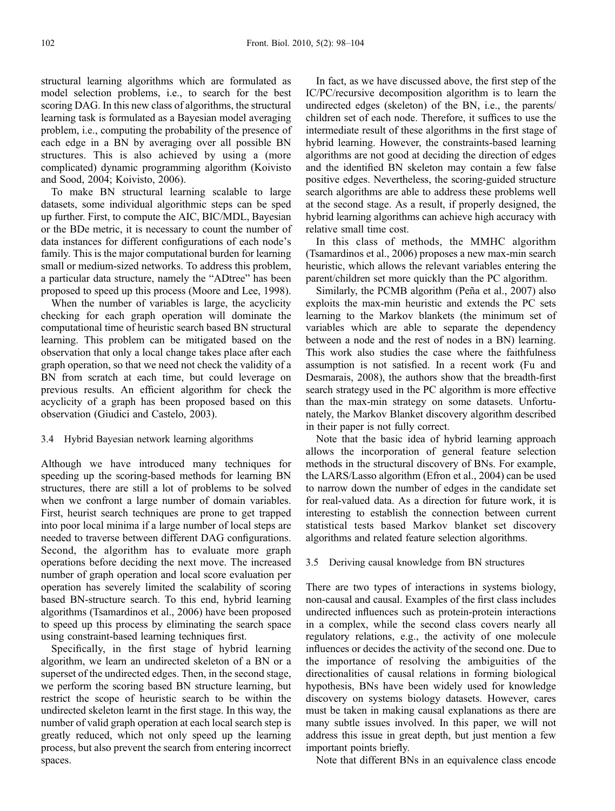structural learning algorithms which are formulated as model selection problems, i.e., to search for the best scoring DAG. In this new class of algorithms, the structural learning task is formulated as a Bayesian model averaging problem, i.e., computing the probability of the presence of each edge in a BN by averaging over all possible BN structures. This is also achieved by using a (more complicated) dynamic programming algorithm [\(Koivisto](#page-6-0) [and Sood, 2004; Koivisto, 2006](#page-6-0)).

To make BN structural learning scalable to large datasets, some individual algorithmic steps can be sped up further. First, to compute the AIC, BIC/MDL, Bayesian or the BDe metric, it is necessary to count the number of data instances for different configurations of each node's family. This is the major computational burden for learning small or medium-sized networks. To address this problem, a particular data structure, namely the "ADtree" has been proposed to speed up this process [\(Moore and Lee, 1998](#page-6-0)).

When the number of variables is large, the acyclicity checking for each graph operation will dominate the computational time of heuristic search based BN structural learning. This problem can be mitigated based on the observation that only a local change takes place after each graph operation, so that we need not check the validity of a BN from scratch at each time, but could leverage on previous results. An efficient algorithm for check the acyclicity of a graph has been proposed based on this observation ([Giudici and Castelo, 2003](#page-6-0)).

### 3.4 Hybrid Bayesian network learning algorithms

Although we have introduced many techniques for speeding up the scoring-based methods for learning BN structures, there are still a lot of problems to be solved when we confront a large number of domain variables. First, heurist search techniques are prone to get trapped into poor local minima if a large number of local steps are needed to traverse between different DAG configurations. Second, the algorithm has to evaluate more graph operations before deciding the next move. The increased number of graph operation and local score evaluation per operation has severely limited the scalability of scoring based BN-structure search. To this end, hybrid learning algorithms [\(Tsamardinos et al., 2006\)](#page-6-0) have been proposed to speed up this process by eliminating the search space using constraint-based learning techniques first.

Specifically, in the first stage of hybrid learning algorithm, we learn an undirected skeleton of a BN or a superset of the undirected edges. Then, in the second stage, we perform the scoring based BN structure learning, but restrict the scope of heuristic search to be within the undirected skeleton learnt in the first stage. In this way, the number of valid graph operation at each local search step is greatly reduced, which not only speed up the learning process, but also prevent the search from entering incorrect spaces.

In fact, as we have discussed above, the first step of the IC/PC/recursive decomposition algorithm is to learn the undirected edges (skeleton) of the BN, i.e., the parents/ children set of each node. Therefore, it suffices to use the intermediate result of these algorithms in the first stage of hybrid learning. However, the constraints-based learning algorithms are not good at deciding the direction of edges and the identified BN skeleton may contain a few false positive edges. Nevertheless, the scoring-guided structure search algorithms are able to address these problems well at the second stage. As a result, if properly designed, the hybrid learning algorithms can achieve high accuracy with relative small time cost.

In this class of methods, the MMHC algorithm ([Tsamardinos et al., 2006\)](#page-6-0) proposes a new max-min search heuristic, which allows the relevant variables entering the parent/children set more quickly than the PC algorithm.

Similarly, the PCMB algorithm ([Peña et al., 2007](#page-6-0)) also exploits the max-min heuristic and extends the PC sets learning to the Markov blankets (the minimum set of variables which are able to separate the dependency between a node and the rest of nodes in a BN) learning. This work also studies the case where the faithfulness assumption is not satisfied. In a recent work [\(Fu and](#page-6-0) [Desmarais, 2008\)](#page-6-0), the authors show that the breadth-first search strategy used in the PC algorithm is more effective than the max-min strategy on some datasets. Unfortunately, the Markov Blanket discovery algorithm described in their paper is not fully correct.

Note that the basic idea of hybrid learning approach allows the incorporation of general feature selection methods in the structural discovery of BNs. For example, the LARS/Lasso algorithm [\(Efron et al., 2004\)](#page-6-0) can be used to narrow down the number of edges in the candidate set for real-valued data. As a direction for future work, it is interesting to establish the connection between current statistical tests based Markov blanket set discovery algorithms and related feature selection algorithms.

#### 3.5 Deriving causal knowledge from BN structures

There are two types of interactions in systems biology, non-causal and causal. Examples of the first class includes undirected influences such as protein-protein interactions in a complex, while the second class covers nearly all regulatory relations, e.g., the activity of one molecule influences or decides the activity of the second one. Due to the importance of resolving the ambiguities of the directionalities of causal relations in forming biological hypothesis, BNs have been widely used for knowledge discovery on systems biology datasets. However, cares must be taken in making causal explanations as there are many subtle issues involved. In this paper, we will not address this issue in great depth, but just mention a few important points briefly.

Note that different BNs in an equivalence class encode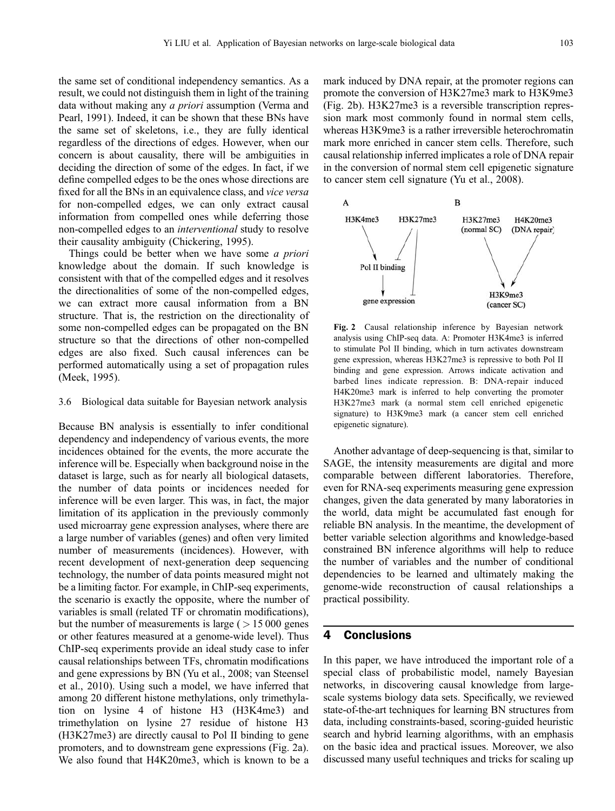the same set of conditional independency semantics. As a result, we could not distinguish them in light of the training data without making any a priori assumption ([Verma and](#page-6-0) [Pearl, 1991](#page-6-0)). Indeed, it can be shown that these BNs have the same set of skeletons, i.e., they are fully identical regardless of the directions of edges. However, when our concern is about causality, there will be ambiguities in deciding the direction of some of the edges. In fact, if we define compelled edges to be the ones whose directions are fixed for all the BNs in an equivalence class, and vice versa for non-compelled edges, we can only extract causal information from compelled ones while deferring those non-compelled edges to an interventional study to resolve their causality ambiguity [\(Chickering, 1995\)](#page-6-0).

Things could be better when we have some *a priori* knowledge about the domain. If such knowledge is consistent with that of the compelled edges and it resolves the directionalities of some of the non-compelled edges, we can extract more causal information from a BN structure. That is, the restriction on the directionality of some non-compelled edges can be propagated on the BN structure so that the directions of other non-compelled edges are also fixed. Such causal inferences can be performed automatically using a set of propagation rules [\(Meek, 1995](#page-6-0)).

#### 3.6 Biological data suitable for Bayesian network analysis

Because BN analysis is essentially to infer conditional dependency and independency of various events, the more incidences obtained for the events, the more accurate the inference will be. Especially when background noise in the dataset is large, such as for nearly all biological datasets, the number of data points or incidences needed for inference will be even larger. This was, in fact, the major limitation of its application in the previously commonly used microarray gene expression analyses, where there are a large number of variables (genes) and often very limited number of measurements (incidences). However, with recent development of next-generation deep sequencing technology, the number of data points measured might not be a limiting factor. For example, in ChIP-seq experiments, the scenario is exactly the opposite, where the number of variables is small (related TF or chromatin modifications), but the number of measurements is large ( *>* 15 000 genes or other features measured at a genome-wide level). Thus ChIP-seq experiments provide an ideal study case to infer causal relationships between TFs, chromatin modifications and gene expressions by BN [\(Yu et al., 2008; van Steensel](#page-6-0) [et al., 2010](#page-6-0)). Using such a model, we have inferred that among 20 different histone methylations, only trimethylation on lysine 4 of histone H3 (H3K4me3) and trimethylation on lysine 27 residue of histone H3 (H3K27me3) are directly causal to Pol II binding to gene promoters, and to downstream gene expressions (Fig. 2a). We also found that H4K20me3, which is known to be a

mark induced by DNA repair, at the promoter regions can promote the conversion of H3K27me3 mark to H3K9me3 (Fig. 2b). H3K27me3 is a reversible transcription repression mark most commonly found in normal stem cells, whereas H3K9me3 is a rather irreversible heterochromatin mark more enriched in cancer stem cells. Therefore, such causal relationship inferred implicates a role of DNA repair in the conversion of normal stem cell epigenetic signature to cancer stem cell signature [\(Yu et al., 2008](#page-6-0)).



Fig. 2 Causal relationship inference by Bayesian network analysis using ChIP-seq data. A: Promoter H3K4me3 is inferred to stimulate Pol II binding, which in turn activates downstream gene expression, whereas H3K27me3 is repressive to both Pol II binding and gene expression. Arrows indicate activation and barbed lines indicate repression. B: DNA-repair induced H4K20me3 mark is inferred to help converting the promoter H3K27me3 mark (a normal stem cell enriched epigenetic signature) to H3K9me3 mark (a cancer stem cell enriched epigenetic signature).

Another advantage of deep-sequencing is that, similar to SAGE, the intensity measurements are digital and more comparable between different laboratories. Therefore, even for RNA-seq experiments measuring gene expression changes, given the data generated by many laboratories in the world, data might be accumulated fast enough for reliable BN analysis. In the meantime, the development of better variable selection algorithms and knowledge-based constrained BN inference algorithms will help to reduce the number of variables and the number of conditional dependencies to be learned and ultimately making the genome-wide reconstruction of causal relationships a practical possibility.

#### 4 Conclusions

In this paper, we have introduced the important role of a special class of probabilistic model, namely Bayesian networks, in discovering causal knowledge from largescale systems biology data sets. Specifically, we reviewed state-of-the-art techniques for learning BN structures from data, including constraints-based, scoring-guided heuristic search and hybrid learning algorithms, with an emphasis on the basic idea and practical issues. Moreover, we also discussed many useful techniques and tricks for scaling up